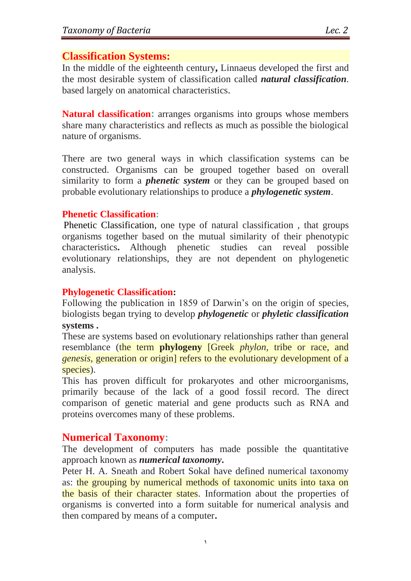# **Classification Systems:**

In the middle of the eighteenth century**,** Linnaeus developed the first and the most desirable system of classification called *natural classification*. based largely on anatomical characteristics.

**Natural classification:** arranges organisms into groups whose members share many characteristics and reflects as much as possible the biological nature of organisms.

There are two general ways in which classification systems can be constructed. Organisms can be grouped together based on overall similarity to form a *phenetic system* or they can be grouped based on probable evolutionary relationships to produce a *phylogenetic system*.

## **Phenetic Classification:**

Phenetic Classification, one type of natural classification , that groups organisms together based on the mutual similarity of their phenotypic characteristics**.** Although phenetic studies can reveal possible evolutionary relationships, they are not dependent on phylogenetic analysis.

## **Phylogenetic Classification:**

Following the publication in 1859 of Darwin's on the origin of species, biologists began trying to develop *phylogenetic* or *phyletic classification* **systems .**

These are systems based on evolutionary relationships rather than general resemblance (the term **phylogeny** [Greek *phylon,* tribe or race, and *genesis,* generation or origin] refers to the evolutionary development of a species).

This has proven difficult for prokaryotes and other microorganisms, primarily because of the lack of a good fossil record. The direct comparison of genetic material and gene products such as RNA and proteins overcomes many of these problems.

# **Numerical Taxonomy:**

The development of computers has made possible the quantitative approach known as *numerical taxonomy***.** 

Peter H. A. Sneath and Robert Sokal have defined numerical taxonomy as: the grouping by numerical methods of taxonomic units into taxa on the basis of their character states. Information about the properties of organisms is converted into a form suitable for numerical analysis and then compared by means of a computer**.**

 $\lambda$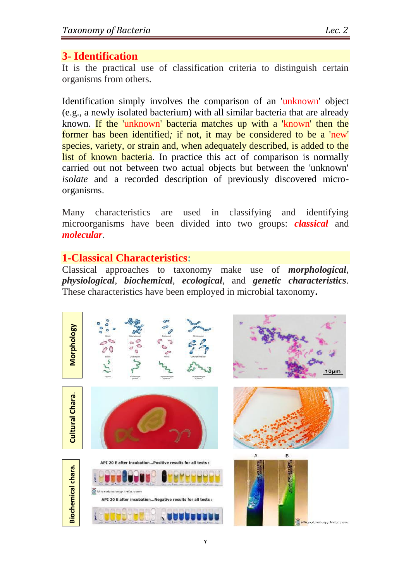It is the practical use of classification criteria to distinguish certain organisms from others.

Identification simply involves the comparison of an 'unknown' object (e.g., a newly isolated bacterium) with all similar bacteria that are already known. If the 'unknown' bacteria matches up with a 'known' then the former has been identified*;* if not, it may be considered to be a 'new' species, variety, or strain and, when adequately described, is added to the list of known bacteria. In practice this act of comparison is normally carried out not between two actual objects but between the 'unknown' *isolate* and a recorded description of previously discovered microorganisms.

Many characteristics are used in classifying and identifying microorganisms have been divided into two groups: *classical* and *molecular*.

# **1-Classical Characteristics:**

Classical approaches to taxonomy make use of *morphological*, *physiological*, *biochemical*, *ecological*, and *genetic characteristics*. These characteristics have been employed in microbial taxonomy**.**

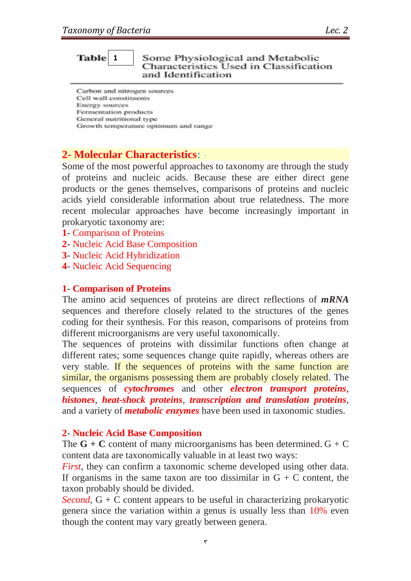#### **1**Some Physiological and Metabolic Characteristics Used in Classification and Identification

Carbon and nitrogen sources Cell wall constituents Energy sources Fermentation products General nutritional type Growth temperature optimum and range

# **2- Molecular Characteristics:**

Some of the most powerful approaches to taxonomy are through the study of proteins and nucleic acids. Because these are either direct gene products or the genes themselves, comparisons of proteins and nucleic acids yield considerable information about true relatedness. The more recent molecular approaches have become increasingly important in prokaryotic taxonomy are:

- **1** Comparison of Proteins
- **2** Nucleic Acid Base Composition
- **3** Nucleic Acid Hybridization
- **4** Nucleic Acid Sequencing

### **1**- **Comparison of Proteins**

The amino acid sequences of proteins are direct reflections of *mRNA* sequences and therefore closely related to the structures of the genes coding for their synthesis. For this reason, comparisons of proteins from different microorganisms are very useful taxonomically.

The sequences of proteins with dissimilar functions often change at different rates; some sequences change quite rapidly, whereas others are very stable. If the sequences of proteins with the same function are similar, the organisms possessing them are probably closely related. The sequences of *cytochromes* and other *electron transport proteins*, *histones*, *heat-shock proteins*, *transcription and translation proteins*, and a variety of *metabolic enzymes* have been used in taxonomic studies.

## **2**- **Nucleic Acid Base Composition**

The  $G + C$  content of many microorganisms has been determined.  $G + C$ content data are taxonomically valuable in at least two ways:

*First*, they can confirm a taxonomic scheme developed using other data. If organisms in the same taxon are too dissimilar in  $G + C$  content, the taxon probably should be divided.

*Second*, G + C content appears to be useful in characterizing prokaryotic genera since the variation within a genus is usually less than 10% even though the content may vary greatly between genera.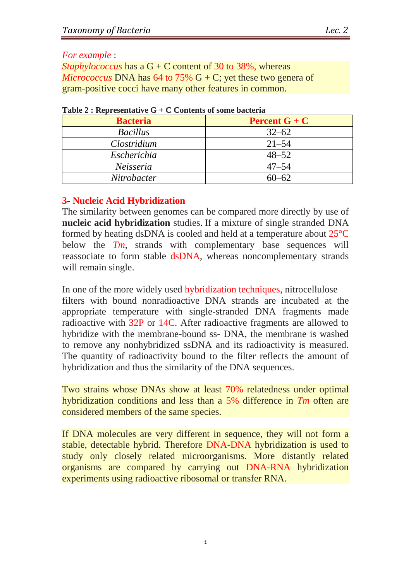## *For example* :

*Staphylococcus* has a G + C content of 30 to 38%, whereas *Micrococcus* DNA has 64 to 75%  $G + C$ ; yet these two genera of gram-positive cocci have many other features in common.

| <b>Bacteria</b> | <b>Percent G</b> + $C$ |  |  |
|-----------------|------------------------|--|--|
| <b>Bacillus</b> | $32 - 62$              |  |  |
| Clostridium     | $21 - 54$              |  |  |
| Escherichia     | $48 - 52$              |  |  |
| Neisseria       | $47 - 54$              |  |  |
| Nitrobacter     | $60 - 62$              |  |  |

|  |  | Table 2 : Representative $G + C$ Contents of some bacteria |  |  |  |  |
|--|--|------------------------------------------------------------|--|--|--|--|
|--|--|------------------------------------------------------------|--|--|--|--|

# **3**- **Nucleic Acid Hybridization**

The similarity between genomes can be compared more directly by use of **nucleic acid hybridization** studies. If a mixture of single stranded DNA formed by heating dsDNA is cooled and held at a temperature about 25°C below the *Tm*, strands with complementary base sequences will reassociate to form stable dsDNA, whereas noncomplementary strands will remain single.

In one of the more widely used hybridization techniques, nitrocellulose filters with bound nonradioactive DNA strands are incubated at the appropriate temperature with single-stranded DNA fragments made radioactive with 32P or 14C. After radioactive fragments are allowed to hybridize with the membrane-bound ss- DNA, the membrane is washed to remove any nonhybridized ssDNA and its radioactivity is measured. The quantity of radioactivity bound to the filter reflects the amount of hybridization and thus the similarity of the DNA sequences.

Two strains whose DNAs show at least 70% relatedness under optimal hybridization conditions and less than a 5% difference in *Tm* often are considered members of the same species.

If DNA molecules are very different in sequence, they will not form a stable, detectable hybrid. Therefore DNA-DNA hybridization is used to study only closely related microorganisms. More distantly related organisms are compared by carrying out DNA-RNA hybridization experiments using radioactive ribosomal or transfer RNA.